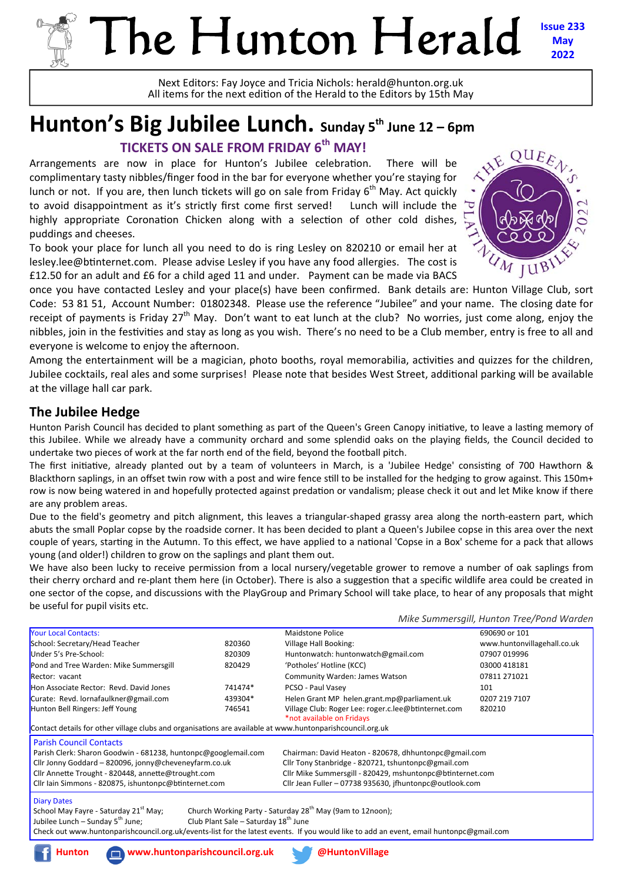# The Hunton Herald **Issue 233**

Next Editors: Fay Joyce and Tricia Nichols: herald@hunton.org.uk All items for the next edition of the Herald to the Editors by 15th May

# Hunton's Big Jubilee Lunch. Sunday 5<sup>th</sup> June 12 – 6pm

## **TICKETS ON SALE FROM FRIDAY 6th MAY!**

Arrangements are now in place for Hunton's Jubilee celebration. There will be complimentary tasty nibbles/finger food in the bar for everyone whether you're staying for lunch or not. If you are, then lunch tickets will go on sale from Friday  $6<sup>th</sup>$  May. Act quickly to avoid disappointment as it's strictly first come first served! Lunch will include the highly appropriate Coronation Chicken along with a selection of other cold dishes, puddings and cheeses.

To book your place for lunch all you need to do is ring Lesley on 820210 or email her at lesley.lee@btinternet.com. Please advise Lesley if you have any food allergies. The cost is £12.50 for an adult and £6 for a child aged 11 and under. Payment can be made via BACS



**May 2022** 

once you have contacted Lesley and your place(s) have been confirmed. Bank details are: Hunton Village Club, sort Code: 53 81 51, Account Number: 01802348. Please use the reference "Jubilee" and your name. The closing date for receipt of payments is Friday 27<sup>th</sup> May. Don't want to eat lunch at the club? No worries, just come along, enjoy the nibbles, join in the festivities and stay as long as you wish. There's no need to be a Club member, entry is free to all and everyone is welcome to enjoy the afternoon.

Among the entertainment will be a magician, photo booths, royal memorabilia, activities and quizzes for the children, Jubilee cocktails, real ales and some surprises! Please note that besides West Street, additional parking will be available at the village hall car park.

#### **The Jubilee Hedge**

Hunton Parish Council has decided to plant something as part of the Queen's Green Canopy initiative, to leave a lasting memory of this Jubilee. While we already have a community orchard and some splendid oaks on the playing fields, the Council decided to undertake two pieces of work at the far north end of the field, beyond the football pitch.

The first initiative, already planted out by a team of volunteers in March, is a 'Jubilee Hedge' consisting of 700 Hawthorn & Blackthorn saplings, in an offset twin row with a post and wire fence still to be installed for the hedging to grow against. This 150m+ row is now being watered in and hopefully protected against predation or vandalism; please check it out and let Mike know if there are any problem areas.

Due to the field's geometry and pitch alignment, this leaves a triangular-shaped grassy area along the north-eastern part, which abuts the small Poplar copse by the roadside corner. It has been decided to plant a Queen's Jubilee copse in this area over the next couple of years, starting in the Autumn. To this effect, we have applied to a national 'Copse in a Box' scheme for a pack that allows young (and older!) children to grow on the saplings and plant them out.

We have also been lucky to receive permission from a local nursery/vegetable grower to remove a number of oak saplings from their cherry orchard and re-plant them here (in October). There is also a suggestion that a specific wildlife area could be created in one sector of the copse, and discussions with the PlayGroup and Primary School will take place, to hear of any proposals that might be useful for pupil visits etc.

|                                                                                                                         |                                      | Mike Summersgill, Hunton Tree/Pond Warden                                                                                               |                             |  |  |
|-------------------------------------------------------------------------------------------------------------------------|--------------------------------------|-----------------------------------------------------------------------------------------------------------------------------------------|-----------------------------|--|--|
| <b>Your Local Contacts:</b>                                                                                             |                                      | <b>Maidstone Police</b>                                                                                                                 | 690690 or 101               |  |  |
| School: Secretary/Head Teacher                                                                                          | 820360                               | Village Hall Booking:                                                                                                                   | www.huntonvillagehall.co.uk |  |  |
| Under 5's Pre-School:                                                                                                   | 820309                               | Huntonwatch: huntonwatch@gmail.com                                                                                                      | 07907 019996                |  |  |
| Pond and Tree Warden: Mike Summersgill                                                                                  | 820429                               | 'Potholes' Hotline (KCC)                                                                                                                | 03000 418181                |  |  |
| Rector: vacant                                                                                                          |                                      | Community Warden: James Watson                                                                                                          | 07811 271021                |  |  |
| Hon Associate Rector: Revd. David Jones                                                                                 | 741474*                              | PCSO - Paul Vasey                                                                                                                       | 101                         |  |  |
| Curate: Revd. lornafaulkner@gmail.com                                                                                   | 439304*                              | Helen Grant MP helen.grant.mp@parliament.uk                                                                                             | 0207 219 7107               |  |  |
| Hunton Bell Ringers: Jeff Young                                                                                         | 746541                               | Village Club: Roger Lee: roger.c.lee@btinternet.com<br>*not available on Fridays                                                        | 820210                      |  |  |
| Contact details for other village clubs and organisations are available at www.huntonparishcouncil.org.uk               |                                      |                                                                                                                                         |                             |  |  |
| <b>Parish Council Contacts</b>                                                                                          |                                      |                                                                                                                                         |                             |  |  |
| Parish Clerk: Sharon Goodwin - 681238, huntonpc@googlemail.com                                                          |                                      | Chairman: David Heaton - 820678, dhhuntonpc@gmail.com                                                                                   |                             |  |  |
| Cllr Jonny Goddard - 820096, jonny@cheveneyfarm.co.uk                                                                   |                                      | Cllr Tony Stanbridge - 820721, tshuntonpc@gmail.com                                                                                     |                             |  |  |
| Cllr Annette Trought - 820448, annette@trought.com                                                                      |                                      | Cllr Mike Summersgill - 820429, mshuntonpc@btinternet.com                                                                               |                             |  |  |
| Cllr Iain Simmons - 820875, ishuntonpc@btinternet.com                                                                   |                                      | Cllr Jean Fuller - 07738 935630, jfhuntonpc@outlook.com                                                                                 |                             |  |  |
| <b>Diary Dates</b><br>School May Fayre - Saturday 21 <sup>st</sup> May;<br>Jubilee Lunch - Sunday 5 <sup>th</sup> June; | Club Plant Sale - Saturday 18th June | Church Working Party - Saturday 28 <sup>th</sup> May (9am to 12noon);                                                                   |                             |  |  |
|                                                                                                                         |                                      | Check out www.huntonparishcouncil.org.uk/events-list for the latest events. If you would like to add an event, email huntonpc@gmail.com |                             |  |  |



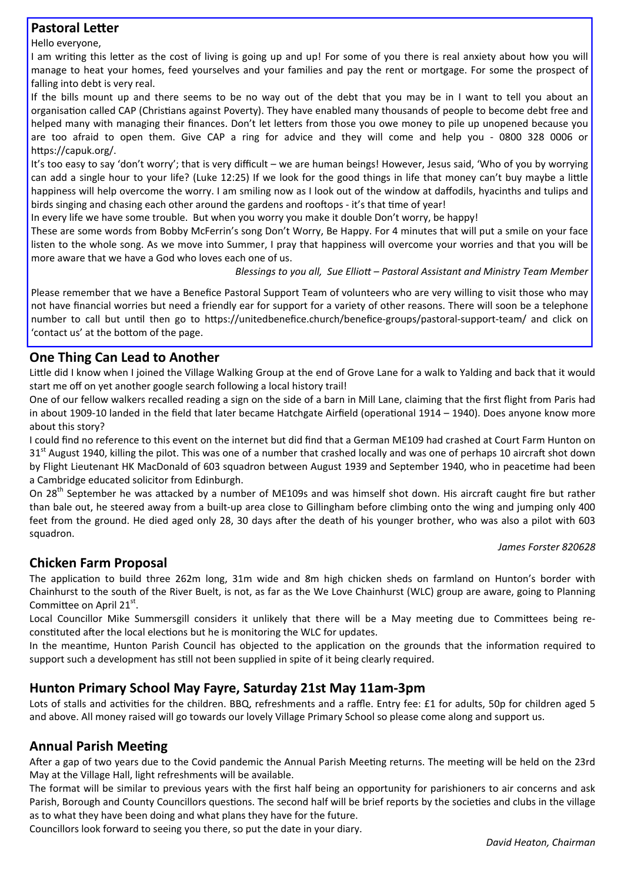#### **Pastoral Letter**

Hello everyone,

I am writing this letter as the cost of living is going up and up! For some of you there is real anxiety about how you will manage to heat your homes, feed yourselves and your families and pay the rent or mortgage. For some the prospect of falling into debt is very real.

If the bills mount up and there seems to be no way out of the debt that you may be in I want to tell you about an organisation called CAP (Christians against Poverty). They have enabled many thousands of people to become debt free and helped many with managing their finances. Don't let letters from those you owe money to pile up unopened because you are too afraid to open them. Give CAP a ring for advice and they will come and help you - 0800 328 0006 or https://capuk.org/.

It's too easy to say 'don't worry'; that is very difficult – we are human beings! However, Jesus said, 'Who of you by worrying can add a single hour to your life? (Luke 12:25) If we look for the good things in life that money can't buy maybe a little happiness will help overcome the worry. I am smiling now as I look out of the window at daffodils, hyacinths and tulips and birds singing and chasing each other around the gardens and rooftops - it's that time of year!

In every life we have some trouble. But when you worry you make it double Don't worry, be happy!

These are some words from Bobby McFerrin's song Don't Worry, Be Happy. For 4 minutes that will put a smile on your face listen to the whole song. As we move into Summer, I pray that happiness will overcome your worries and that you will be more aware that we have a God who loves each one of us.

*Blessings to you all, Sue EllioƩ – Pastoral Assistant and Ministry Team Member* 

Please remember that we have a Benefice Pastoral Support Team of volunteers who are very willing to visit those who may not have financial worries but need a friendly ear for support for a variety of other reasons. There will soon be a telephone number to call but until then go to https://unitedbenefice.church/benefice-groups/pastoral-support-team/ and click on 'contact us' at the bottom of the page.

#### **One Thing Can Lead to Another**

Little did I know when I joined the Village Walking Group at the end of Grove Lane for a walk to Yalding and back that it would start me off on yet another google search following a local history trail!

One of our fellow walkers recalled reading a sign on the side of a barn in Mill Lane, claiming that the first flight from Paris had in about 1909-10 landed in the field that later became Hatchgate Airfield (operational 1914 – 1940). Does anyone know more about this story?

I could find no reference to this event on the internet but did find that a German ME109 had crashed at Court Farm Hunton on  $31<sup>st</sup>$  August 1940, killing the pilot. This was one of a number that crashed locally and was one of perhaps 10 aircraft shot down by Flight Lieutenant HK MacDonald of 603 squadron between August 1939 and September 1940, who in peacetime had been a Cambridge educated solicitor from Edinburgh.

On 28<sup>th</sup> September he was attacked by a number of ME109s and was himself shot down. His aircraft caught fire but rather than bale out, he steered away from a built-up area close to Gillingham before climbing onto the wing and jumping only 400 feet from the ground. He died aged only 28, 30 days after the death of his younger brother, who was also a pilot with 603 squadron.

#### *James Forster 820628*

#### **Chicken Farm Proposal**

The application to build three 262m long, 31m wide and 8m high chicken sheds on farmland on Hunton's border with Chainhurst to the south of the River Buelt, is not, as far as the We Love Chainhurst (WLC) group are aware, going to Planning Committee on April 21st.

Local Councillor Mike Summersgill considers it unlikely that there will be a May meeting due to Committees being reconstituted after the local elections but he is monitoring the WLC for updates.

In the meantime, Hunton Parish Council has objected to the application on the grounds that the information required to support such a development has still not been supplied in spite of it being clearly required.

#### **Hunton Primary School May Fayre, Saturday 21st May 11am-3pm**

Lots of stalls and activities for the children. BBQ, refreshments and a raffle. Entry fee: £1 for adults, 50p for children aged 5 and above. All money raised will go towards our lovely Village Primary School so please come along and support us.

#### **Annual Parish Meeting**

After a gap of two years due to the Covid pandemic the Annual Parish Meeting returns. The meeting will be held on the 23rd May at the Village Hall, light refreshments will be available.

The format will be similar to previous years with the first half being an opportunity for parishioners to air concerns and ask Parish, Borough and County Councillors questions. The second half will be brief reports by the societies and clubs in the village as to what they have been doing and what plans they have for the future.

Councillors look forward to seeing you there, so put the date in your diary.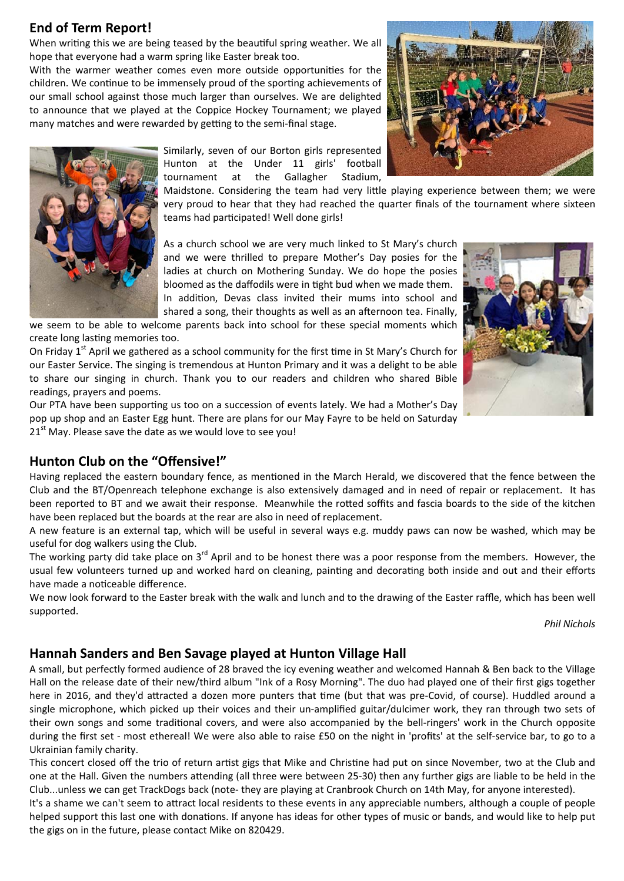#### **End of Term Report!**

When writing this we are being teased by the beautiful spring weather. We all hope that everyone had a warm spring like Easter break too.

With the warmer weather comes even more outside opportunities for the children. We continue to be immensely proud of the sporting achievements of our small school against those much larger than ourselves. We are delighted to announce that we played at the Coppice Hockey Tournament; we played many matches and were rewarded by getting to the semi-final stage.

> Similarly, seven of our Borton girls represented Hunton at the Under 11 girls' football tournament at the Gallagher Stadium,



Maidstone. Considering the team had very little playing experience between them; we were very proud to hear that they had reached the quarter finals of the tournament where sixteen teams had participated! Well done girls!

As a church school we are very much linked to St Mary's church and we were thrilled to prepare Mother's Day posies for the ladies at church on Mothering Sunday. We do hope the posies bloomed as the daffodils were in tight bud when we made them. In addition, Devas class invited their mums into school and shared a song, their thoughts as well as an afternoon tea. Finally,

we seem to be able to welcome parents back into school for these special moments which create long lasting memories too.

On Friday  $1<sup>st</sup>$  April we gathered as a school community for the first time in St Mary's Church for our Easter Service. The singing is tremendous at Hunton Primary and it was a delight to be able to share our singing in church. Thank you to our readers and children who shared Bible readings, prayers and poems.

Our PTA have been supporting us too on a succession of events lately. We had a Mother's Day pop up shop and an Easter Egg hunt. There are plans for our May Fayre to be held on Saturday  $21<sup>st</sup>$  May. Please save the date as we would love to see you!



#### **Hunton Club on the "Offensive!"**

Having replaced the eastern boundary fence, as mentioned in the March Herald, we discovered that the fence between the Club and the BT/Openreach telephone exchange is also extensively damaged and in need of repair or replacement. It has been reported to BT and we await their response. Meanwhile the rotted soffits and fascia boards to the side of the kitchen have been replaced but the boards at the rear are also in need of replacement.

A new feature is an external tap, which will be useful in several ways e.g. muddy paws can now be washed, which may be useful for dog walkers using the Club.

The working party did take place on 3<sup>rd</sup> April and to be honest there was a poor response from the members. However, the usual few volunteers turned up and worked hard on cleaning, painting and decorating both inside and out and their efforts have made a noticeable difference.

We now look forward to the Easter break with the walk and lunch and to the drawing of the Easter raffle, which has been well supported.

*Phil Nichols* 

#### **Hannah Sanders and Ben Savage played at Hunton Village Hall**

A small, but perfectly formed audience of 28 braved the icy evening weather and welcomed Hannah & Ben back to the Village Hall on the release date of their new/third album "Ink of a Rosy Morning". The duo had played one of their first gigs together here in 2016, and they'd attracted a dozen more punters that time (but that was pre-Covid, of course). Huddled around a single microphone, which picked up their voices and their un-amplified guitar/dulcimer work, they ran through two sets of their own songs and some traditional covers, and were also accompanied by the bell-ringers' work in the Church opposite during the first set - most ethereal! We were also able to raise £50 on the night in 'profits' at the self-service bar, to go to a Ukrainian family charity.

This concert closed off the trio of return artist gigs that Mike and Christine had put on since November, two at the Club and one at the Hall. Given the numbers attending (all three were between 25-30) then any further gigs are liable to be held in the Club...unless we can get TrackDogs back (note- they are playing at Cranbrook Church on 14th May, for anyone interested).

It's a shame we can't seem to attract local residents to these events in any appreciable numbers, although a couple of people helped support this last one with donations. If anyone has ideas for other types of music or bands, and would like to help put the gigs on in the future, please contact Mike on 820429.